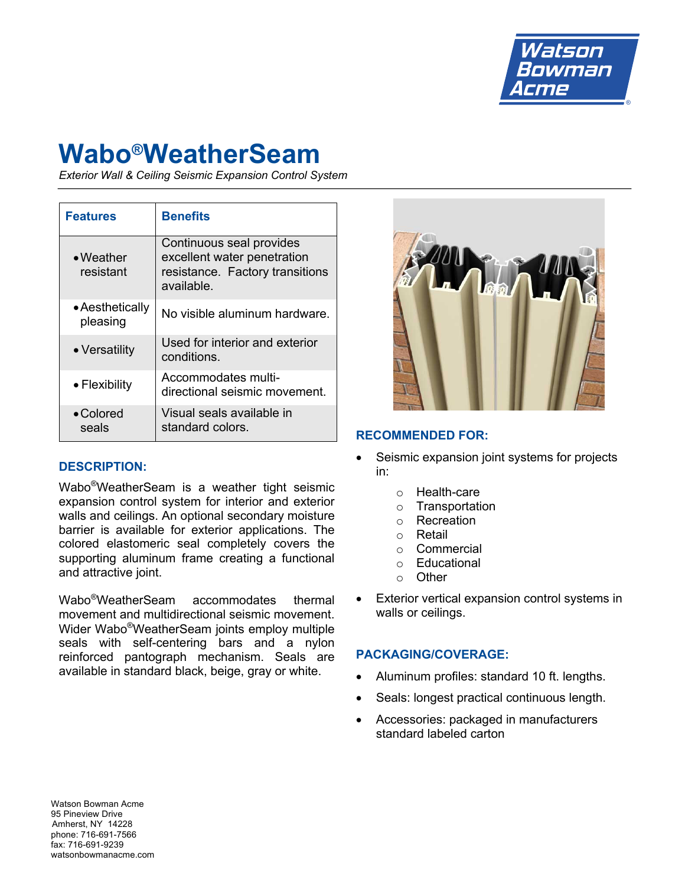

# **Wabo®WeatherSeam**

*Exterior Wall & Ceiling Seismic Expansion Control System*

| <b>Features</b>                | <b>Benefits</b>                                                                                          |
|--------------------------------|----------------------------------------------------------------------------------------------------------|
| $\bullet$ Weather<br>resistant | Continuous seal provides<br>excellent water penetration<br>resistance. Factory transitions<br>available. |
| • Aesthetically<br>pleasing    | No visible aluminum hardware.                                                                            |
| • Versatility                  | Used for interior and exterior<br>conditions.                                                            |
| • Flexibility                  | Accommodates multi-<br>directional seismic movement.                                                     |
| $\bullet$ Colored<br>seals     | Visual seals available in<br>standard colors.                                                            |

## **DESCRIPTION:**

Wabo®WeatherSeam is a weather tight seismic expansion control system for interior and exterior walls and ceilings. An optional secondary moisture barrier is available for exterior applications. The colored elastomeric seal completely covers the supporting aluminum frame creating a functional and attractive joint.

Wabo®WeatherSeam accommodates thermal movement and multidirectional seismic movement. Wider Wabo®WeatherSeam joints employ multiple seals with self-centering bars and a nylon reinforced pantograph mechanism. Seals are available in standard black, beige, gray or white.



#### **RECOMMENDED FOR:**

- Seismic expansion joint systems for projects in:
	- o Health-care
	- o Transportation
	- o Recreation
	- o Retail
	- o Commercial
	- o Educational
	- o Other
- Exterior vertical expansion control systems in walls or ceilings.

#### **PACKAGING/COVERAGE:**

- Aluminum profiles: standard 10 ft. lengths.
- Seals: longest practical continuous length.
- Accessories: packaged in manufacturers standard labeled carton

Watson Bowman Acme 95 Pineview Drive Amherst, NY 14228 phone: 716-691-7566 fax: 716-691-9239 watsonbowmanacme.com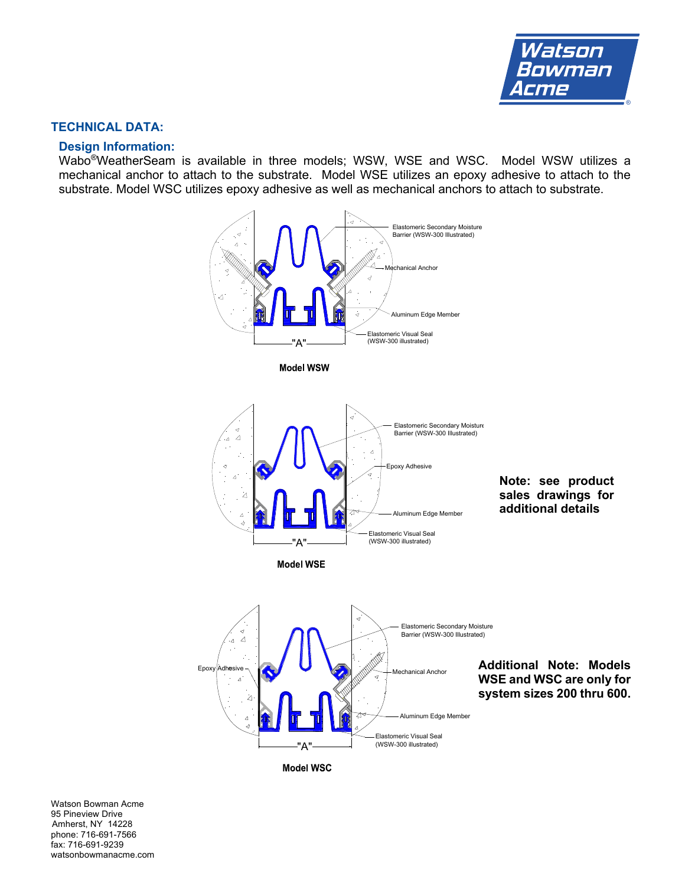

#### **TECHNICAL DATA:**

#### **Design Information:**

Wabo®WeatherSeam is available in three models; WSW, WSE and WSC. Model WSW utilizes a mechanical anchor to attach to the substrate. Model WSE utilizes an epoxy adhesive to attach to the substrate. Model WSC utilizes epoxy adhesive as well as mechanical anchors to attach to substrate.



**Model WSC** 

Watson Bowman Acme 95 Pineview Drive Amherst, NY 14228 phone: 716-691-7566 fax: 716-691-9239 watsonbowmanacme.com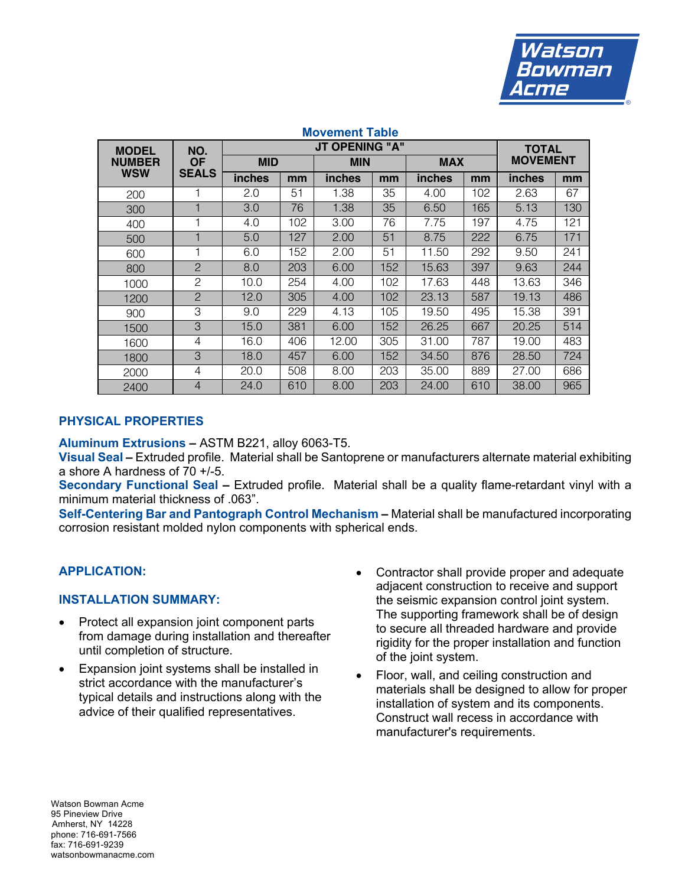

| <b>IVIV VUIILUIL</b><br>IUNIV        |                                  |                       |     |               |     |               |     |                 |     |  |  |
|--------------------------------------|----------------------------------|-----------------------|-----|---------------|-----|---------------|-----|-----------------|-----|--|--|
| <b>MODEL</b><br><b>NUMBER</b><br>WSW | NO.<br><b>OF</b><br><b>SEALS</b> | <b>JT OPENING "A"</b> |     |               |     |               |     | <b>TOTAL</b>    |     |  |  |
|                                      |                                  | <b>MID</b>            |     | <b>MIN</b>    |     | <b>MAX</b>    |     | <b>MOVEMENT</b> |     |  |  |
|                                      |                                  | <b>inches</b>         | mm  | <b>inches</b> | mm  | <i>inches</i> | mm  | inches          | mm  |  |  |
| 200                                  | 1                                | 2.0                   | 51  | 1.38          | 35  | 4.00          | 102 | 2.63            | 67  |  |  |
| 300                                  |                                  | 3.0                   | 76  | 1.38          | 35  | 6.50          | 165 | 5.13            | 130 |  |  |
| 400                                  |                                  | 4.0                   | 102 | 3.00          | 76  | 7.75          | 197 | 4.75            | 121 |  |  |
| 500                                  |                                  | 5.0                   | 127 | 2.00          | 51  | 8.75          | 222 | 6.75            | 171 |  |  |
| 600                                  | 1                                | 6.0                   | 152 | 2.00          | 51  | 11.50         | 292 | 9.50            | 241 |  |  |
| 800                                  | $\overline{2}$                   | 8.0                   | 203 | 6.00          | 152 | 15.63         | 397 | 9.63            | 244 |  |  |
| 1000                                 | $\mathcal{P}$                    | 10.0                  | 254 | 4.00          | 102 | 17.63         | 448 | 13.63           | 346 |  |  |
| 1200                                 | $\overline{2}$                   | 12.0                  | 305 | 4.00          | 102 | 23.13         | 587 | 19.13           | 486 |  |  |
| 900                                  | 3                                | 9.0                   | 229 | 4.13          | 105 | 19.50         | 495 | 15.38           | 391 |  |  |
| 1500                                 | 3                                | 15.0                  | 381 | 6.00          | 152 | 26.25         | 667 | 20.25           | 514 |  |  |
| 1600                                 | 4                                | 16.0                  | 406 | 12.00         | 305 | 31.00         | 787 | 19.00           | 483 |  |  |
| 1800                                 | 3                                | 18.0                  | 457 | 6.00          | 152 | 34.50         | 876 | 28.50           | 724 |  |  |
| 2000                                 | $\overline{4}$                   | 20.0                  | 508 | 8.00          | 203 | 35.00         | 889 | 27.00           | 686 |  |  |
| 2400                                 | $\overline{4}$                   | 24.0                  | 610 | 8.00          | 203 | 24.00         | 610 | 38.00           | 965 |  |  |

# **Movement Table**

## **PHYSICAL PROPERTIES**

**Aluminum Extrusions –** ASTM B221, alloy 6063-T5.

**Visual Seal –** Extruded profile. Material shall be Santoprene or manufacturers alternate material exhibiting a shore A hardness of 70 +/-5.

**Secondary Functional Seal –** Extruded profile. Material shall be a quality flame-retardant vinyl with a minimum material thickness of .063".

**Self-Centering Bar and Pantograph Control Mechanism –** Material shall be manufactured incorporating corrosion resistant molded nylon components with spherical ends.

## **APPLICATION:**

#### **INSTALLATION SUMMARY:**

- Protect all expansion joint component parts from damage during installation and thereafter until completion of structure.
- Expansion joint systems shall be installed in strict accordance with the manufacturer's typical details and instructions along with the advice of their qualified representatives.
- Contractor shall provide proper and adequate adjacent construction to receive and support the seismic expansion control joint system. The supporting framework shall be of design to secure all threaded hardware and provide rigidity for the proper installation and function of the joint system.
- Floor, wall, and ceiling construction and materials shall be designed to allow for proper installation of system and its components. Construct wall recess in accordance with manufacturer's requirements.

Watson Bowman Acme 95 Pineview Drive Amherst, NY 14228 phone: 716-691-7566 fax: 716-691-9239 watsonbowmanacme.com